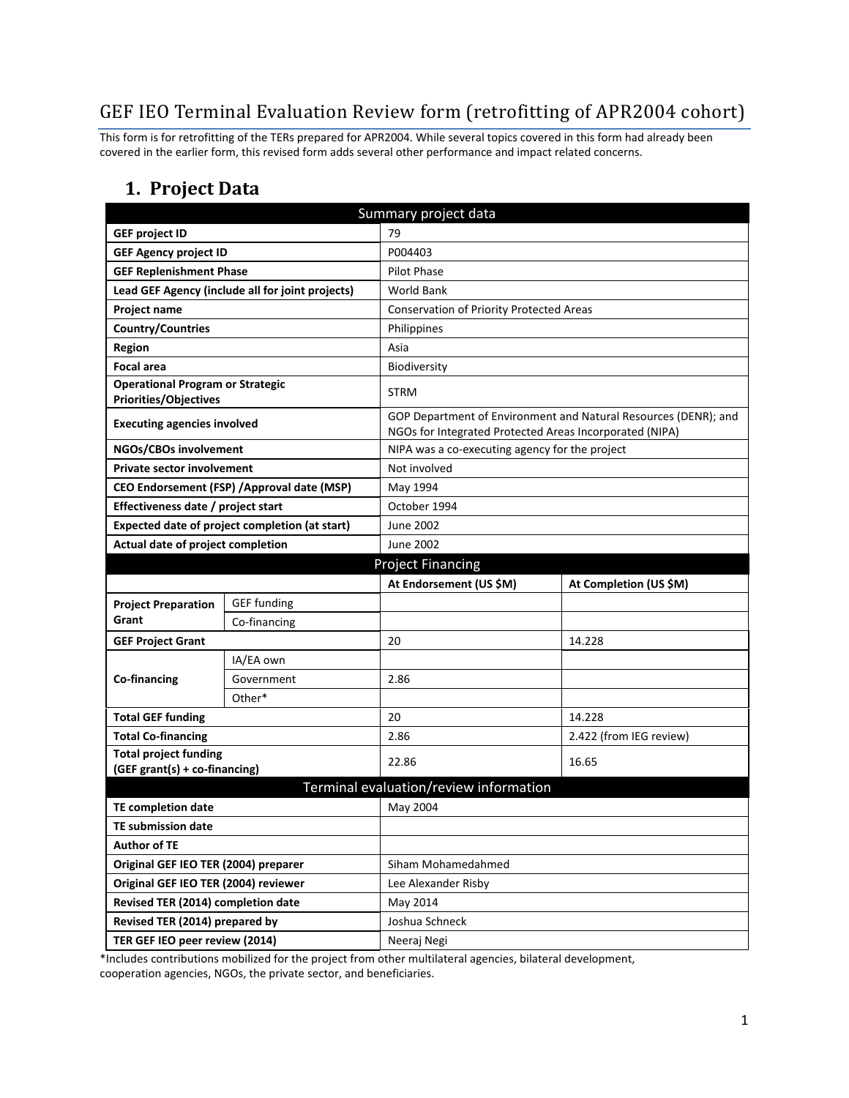## GEF IEO Terminal Evaluation Review form (retrofitting of APR2004 cohort)

This form is for retrofitting of the TERs prepared for APR2004. While several topics covered in this form had already been covered in the earlier form, this revised form adds several other performance and impact related concerns.

#### **1. Project Data**

| Summary project data                                                    |                                                  |                                                         |                                                                 |  |  |
|-------------------------------------------------------------------------|--------------------------------------------------|---------------------------------------------------------|-----------------------------------------------------------------|--|--|
| <b>GEF project ID</b>                                                   |                                                  | 79                                                      |                                                                 |  |  |
| <b>GEF Agency project ID</b>                                            |                                                  | P004403                                                 |                                                                 |  |  |
| <b>GEF Replenishment Phase</b>                                          |                                                  | <b>Pilot Phase</b>                                      |                                                                 |  |  |
|                                                                         | Lead GEF Agency (include all for joint projects) | <b>World Bank</b>                                       |                                                                 |  |  |
| Project name                                                            |                                                  | Conservation of Priority Protected Areas                |                                                                 |  |  |
| <b>Country/Countries</b>                                                |                                                  | Philippines                                             |                                                                 |  |  |
| <b>Region</b>                                                           |                                                  | Asia                                                    |                                                                 |  |  |
| <b>Focal area</b>                                                       |                                                  | Biodiversity                                            |                                                                 |  |  |
| <b>Operational Program or Strategic</b><br><b>Priorities/Objectives</b> |                                                  | <b>STRM</b>                                             |                                                                 |  |  |
| <b>Executing agencies involved</b>                                      |                                                  | NGOs for Integrated Protected Areas Incorporated (NIPA) | GOP Department of Environment and Natural Resources (DENR); and |  |  |
| NGOs/CBOs involvement                                                   |                                                  | NIPA was a co-executing agency for the project          |                                                                 |  |  |
| <b>Private sector involvement</b>                                       |                                                  | Not involved                                            |                                                                 |  |  |
|                                                                         | CEO Endorsement (FSP) / Approval date (MSP)      | May 1994                                                |                                                                 |  |  |
| Effectiveness date / project start                                      |                                                  | October 1994                                            |                                                                 |  |  |
|                                                                         | Expected date of project completion (at start)   | June 2002                                               |                                                                 |  |  |
| Actual date of project completion                                       |                                                  | June 2002                                               |                                                                 |  |  |
| <b>Project Financing</b>                                                |                                                  |                                                         |                                                                 |  |  |
|                                                                         |                                                  | At Endorsement (US \$M)                                 | At Completion (US \$M)                                          |  |  |
| <b>Project Preparation</b>                                              | <b>GEF funding</b>                               |                                                         |                                                                 |  |  |
| Grant                                                                   | Co-financing                                     |                                                         |                                                                 |  |  |
| <b>GEF Project Grant</b>                                                |                                                  | 20                                                      | 14.228                                                          |  |  |
|                                                                         | IA/EA own                                        |                                                         |                                                                 |  |  |
| Co-financing                                                            | Government                                       | 2.86                                                    |                                                                 |  |  |
|                                                                         | Other*                                           |                                                         |                                                                 |  |  |
| <b>Total GEF funding</b>                                                |                                                  | 20                                                      | 14.228                                                          |  |  |
| <b>Total Co-financing</b>                                               |                                                  | 2.86                                                    | 2.422 (from IEG review)                                         |  |  |
| <b>Total project funding</b><br>(GEF grant(s) + co-financing)           |                                                  | 22.86                                                   | 16.65                                                           |  |  |
| Terminal evaluation/review information                                  |                                                  |                                                         |                                                                 |  |  |
| <b>TE completion date</b>                                               |                                                  | May 2004                                                |                                                                 |  |  |
| <b>TE submission date</b>                                               |                                                  |                                                         |                                                                 |  |  |
| <b>Author of TE</b>                                                     |                                                  |                                                         |                                                                 |  |  |
| Original GEF IEO TER (2004) preparer                                    |                                                  | Siham Mohamedahmed                                      |                                                                 |  |  |
| Original GEF IEO TER (2004) reviewer                                    |                                                  | Lee Alexander Risby                                     |                                                                 |  |  |
| Revised TER (2014) completion date                                      |                                                  | May 2014                                                |                                                                 |  |  |
| Revised TER (2014) prepared by                                          |                                                  | Joshua Schneck                                          |                                                                 |  |  |
| TER GEF IEO peer review (2014)                                          |                                                  |                                                         |                                                                 |  |  |

\*Includes contributions mobilized for the project from other multilateral agencies, bilateral development, cooperation agencies, NGOs, the private sector, and beneficiaries.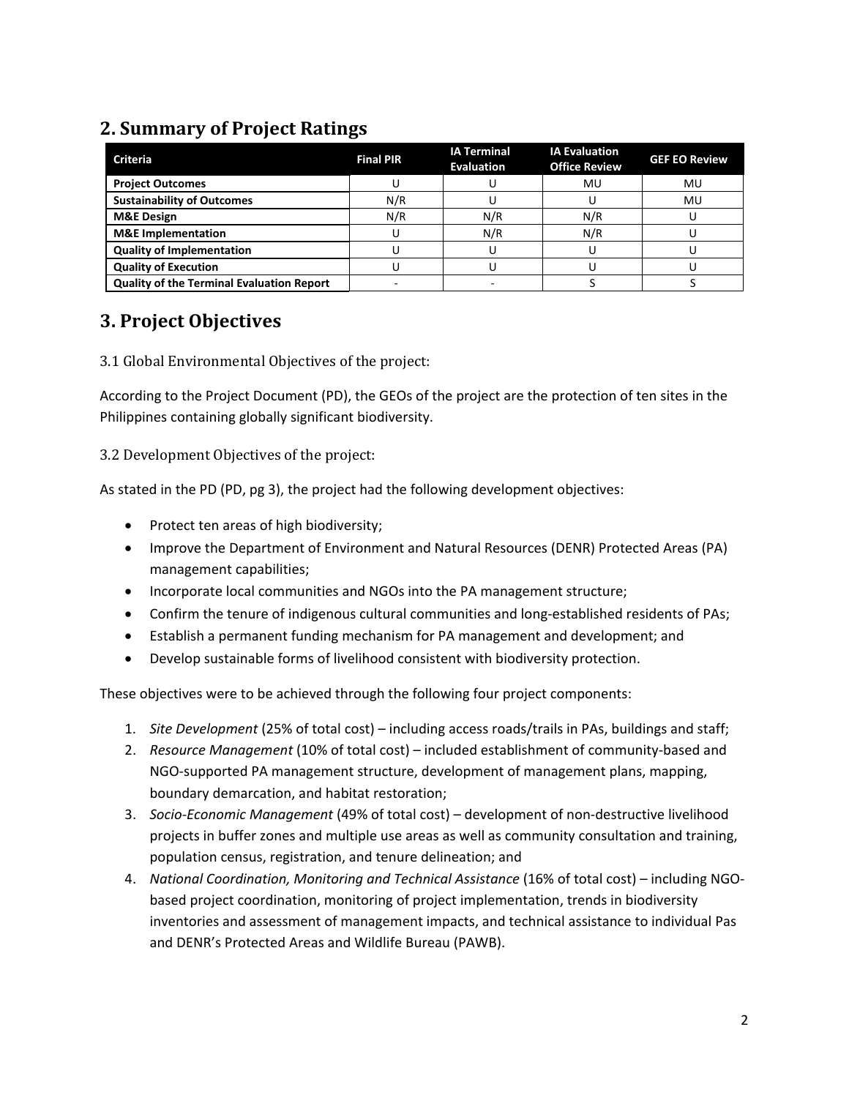## **2. Summary of Project Ratings**

| <b>Criteria</b>                                  | <b>Final PIR</b> | <b>IA Terminal</b><br><b>Evaluation</b> | <b>IA Evaluation</b><br><b>Office Review</b> | <b>GEF EO Review</b> |
|--------------------------------------------------|------------------|-----------------------------------------|----------------------------------------------|----------------------|
| <b>Project Outcomes</b>                          |                  |                                         | MU                                           | MU                   |
| <b>Sustainability of Outcomes</b>                | N/R              |                                         |                                              | MU                   |
| <b>M&amp;E Design</b>                            | N/R              | N/R                                     | N/R                                          |                      |
| <b>M&amp;E</b> Implementation                    |                  | N/R                                     | N/R                                          |                      |
| <b>Quality of Implementation</b>                 |                  |                                         |                                              |                      |
| <b>Quality of Execution</b>                      |                  |                                         |                                              |                      |
| <b>Quality of the Terminal Evaluation Report</b> |                  |                                         |                                              |                      |

## **3. Project Objectives**

3.1 Global Environmental Objectives of the project:

According to the Project Document (PD), the GEOs of the project are the protection of ten sites in the Philippines containing globally significant biodiversity.

3.2 Development Objectives of the project:

As stated in the PD (PD, pg 3), the project had the following development objectives:

- Protect ten areas of high biodiversity;
- Improve the Department of Environment and Natural Resources (DENR) Protected Areas (PA) management capabilities;
- Incorporate local communities and NGOs into the PA management structure;
- Confirm the tenure of indigenous cultural communities and long-established residents of PAs;
- Establish a permanent funding mechanism for PA management and development; and
- Develop sustainable forms of livelihood consistent with biodiversity protection.

These objectives were to be achieved through the following four project components:

- 1. *Site Development* (25% of total cost) including access roads/trails in PAs, buildings and staff;
- 2. *Resource Management* (10% of total cost) included establishment of community-based and NGO-supported PA management structure, development of management plans, mapping, boundary demarcation, and habitat restoration;
- 3. *Socio-Economic Management* (49% of total cost) development of non-destructive livelihood projects in buffer zones and multiple use areas as well as community consultation and training, population census, registration, and tenure delineation; and
- 4. *National Coordination, Monitoring and Technical Assistance* (16% of total cost) including NGObased project coordination, monitoring of project implementation, trends in biodiversity inventories and assessment of management impacts, and technical assistance to individual Pas and DENR's Protected Areas and Wildlife Bureau (PAWB).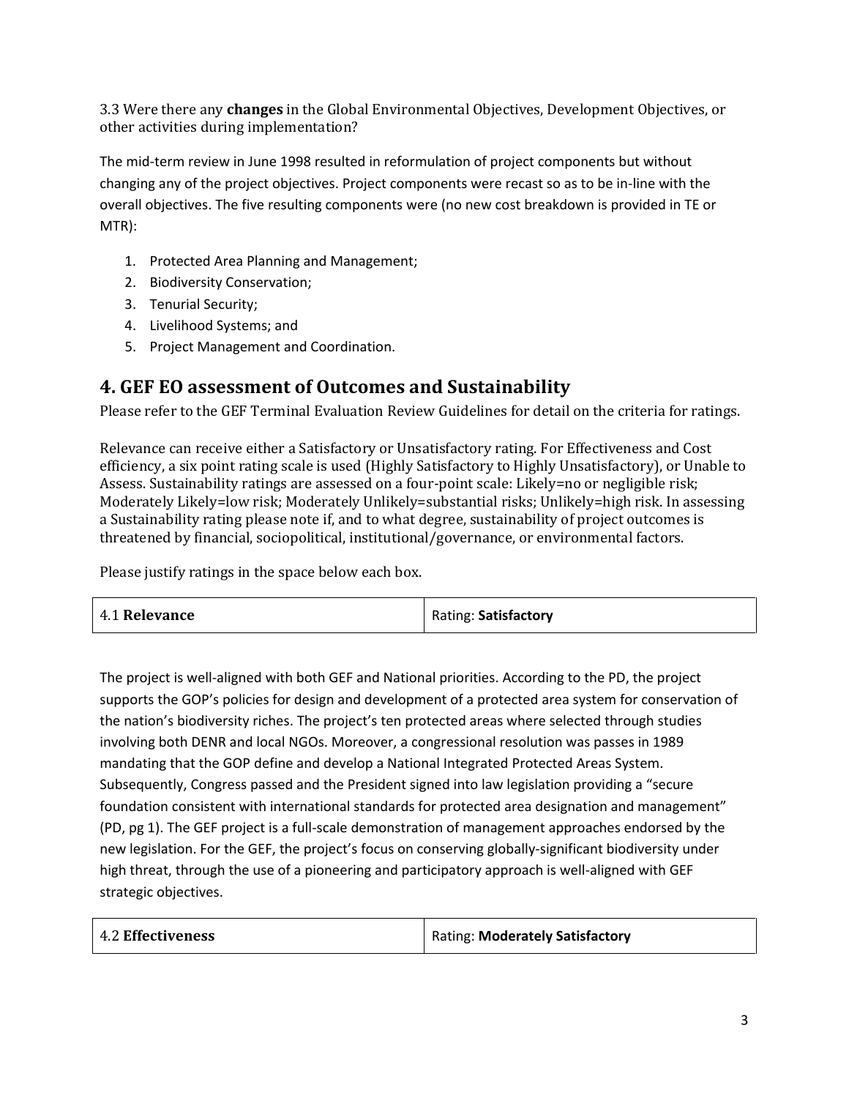3.3 Were there any **changes** in the Global Environmental Objectives, Development Objectives, or other activities during implementation?

The mid-term review in June 1998 resulted in reformulation of project components but without changing any of the project objectives. Project components were recast so as to be in-line with the overall objectives. The five resulting components were (no new cost breakdown is provided in TE or MTR):

- 1. Protected Area Planning and Management;
- 2. Biodiversity Conservation;
- 3. Tenurial Security;
- 4. Livelihood Systems; and
- 5. Project Management and Coordination.

#### **4. GEF EO assessment of Outcomes and Sustainability**

Please refer to the GEF Terminal Evaluation Review Guidelines for detail on the criteria for ratings.

Relevance can receive either a Satisfactory or Unsatisfactory rating. For Effectiveness and Cost efficiency, a six point rating scale is used (Highly Satisfactory to Highly Unsatisfactory), or Unable to Assess. Sustainability ratings are assessed on a four-point scale: Likely=no or negligible risk; Moderately Likely=low risk; Moderately Unlikely=substantial risks; Unlikely=high risk. In assessing a Sustainability rating please note if, and to what degree, sustainability of project outcomes is threatened by financial, sociopolitical, institutional/governance, or environmental factors.

Please justify ratings in the space below each box.

|--|

The project is well-aligned with both GEF and National priorities. According to the PD, the project supports the GOP's policies for design and development of a protected area system for conservation of the nation's biodiversity riches. The project's ten protected areas where selected through studies involving both DENR and local NGOs. Moreover, a congressional resolution was passes in 1989 mandating that the GOP define and develop a National Integrated Protected Areas System. Subsequently, Congress passed and the President signed into law legislation providing a "secure foundation consistent with international standards for protected area designation and management" (PD, pg 1). The GEF project is a full-scale demonstration of management approaches endorsed by the new legislation. For the GEF, the project's focus on conserving globally-significant biodiversity under high threat, through the use of a pioneering and participatory approach is well-aligned with GEF strategic objectives.

| 4.2 Effectiveness | Rating: Moderately Satisfactory |
|-------------------|---------------------------------|
|-------------------|---------------------------------|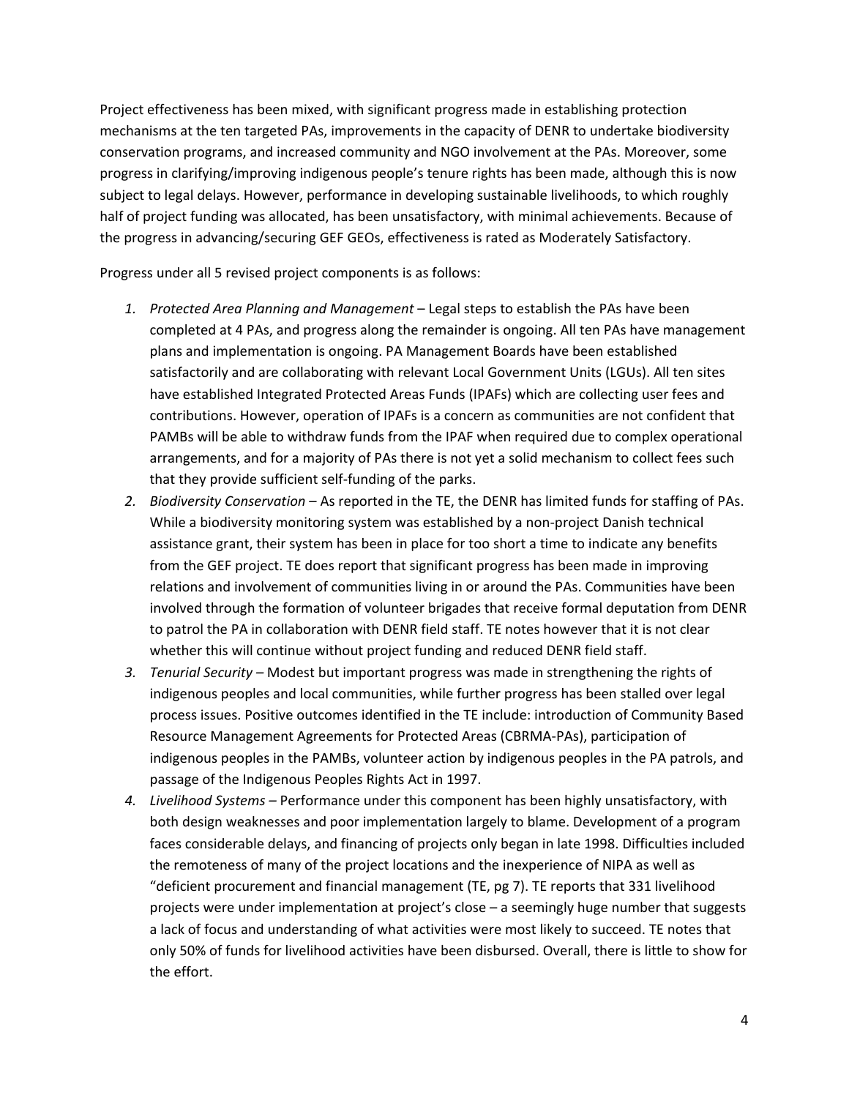Project effectiveness has been mixed, with significant progress made in establishing protection mechanisms at the ten targeted PAs, improvements in the capacity of DENR to undertake biodiversity conservation programs, and increased community and NGO involvement at the PAs. Moreover, some progress in clarifying/improving indigenous people's tenure rights has been made, although this is now subject to legal delays. However, performance in developing sustainable livelihoods, to which roughly half of project funding was allocated, has been unsatisfactory, with minimal achievements. Because of the progress in advancing/securing GEF GEOs, effectiveness is rated as Moderately Satisfactory.

Progress under all 5 revised project components is as follows:

- *1. Protected Area Planning and Management* Legal steps to establish the PAs have been completed at 4 PAs, and progress along the remainder is ongoing. All ten PAs have management plans and implementation is ongoing. PA Management Boards have been established satisfactorily and are collaborating with relevant Local Government Units (LGUs). All ten sites have established Integrated Protected Areas Funds (IPAFs) which are collecting user fees and contributions. However, operation of IPAFs is a concern as communities are not confident that PAMBs will be able to withdraw funds from the IPAF when required due to complex operational arrangements, and for a majority of PAs there is not yet a solid mechanism to collect fees such that they provide sufficient self-funding of the parks.
- *2. Biodiversity Conservation* As reported in the TE, the DENR has limited funds for staffing of PAs. While a biodiversity monitoring system was established by a non-project Danish technical assistance grant, their system has been in place for too short a time to indicate any benefits from the GEF project. TE does report that significant progress has been made in improving relations and involvement of communities living in or around the PAs. Communities have been involved through the formation of volunteer brigades that receive formal deputation from DENR to patrol the PA in collaboration with DENR field staff. TE notes however that it is not clear whether this will continue without project funding and reduced DENR field staff.
- *3. Tenurial Security* Modest but important progress was made in strengthening the rights of indigenous peoples and local communities, while further progress has been stalled over legal process issues. Positive outcomes identified in the TE include: introduction of Community Based Resource Management Agreements for Protected Areas (CBRMA-PAs), participation of indigenous peoples in the PAMBs, volunteer action by indigenous peoples in the PA patrols, and passage of the Indigenous Peoples Rights Act in 1997.
- *4. Livelihood Systems* Performance under this component has been highly unsatisfactory, with both design weaknesses and poor implementation largely to blame. Development of a program faces considerable delays, and financing of projects only began in late 1998. Difficulties included the remoteness of many of the project locations and the inexperience of NIPA as well as "deficient procurement and financial management (TE, pg 7). TE reports that 331 livelihood projects were under implementation at project's close – a seemingly huge number that suggests a lack of focus and understanding of what activities were most likely to succeed. TE notes that only 50% of funds for livelihood activities have been disbursed. Overall, there is little to show for the effort.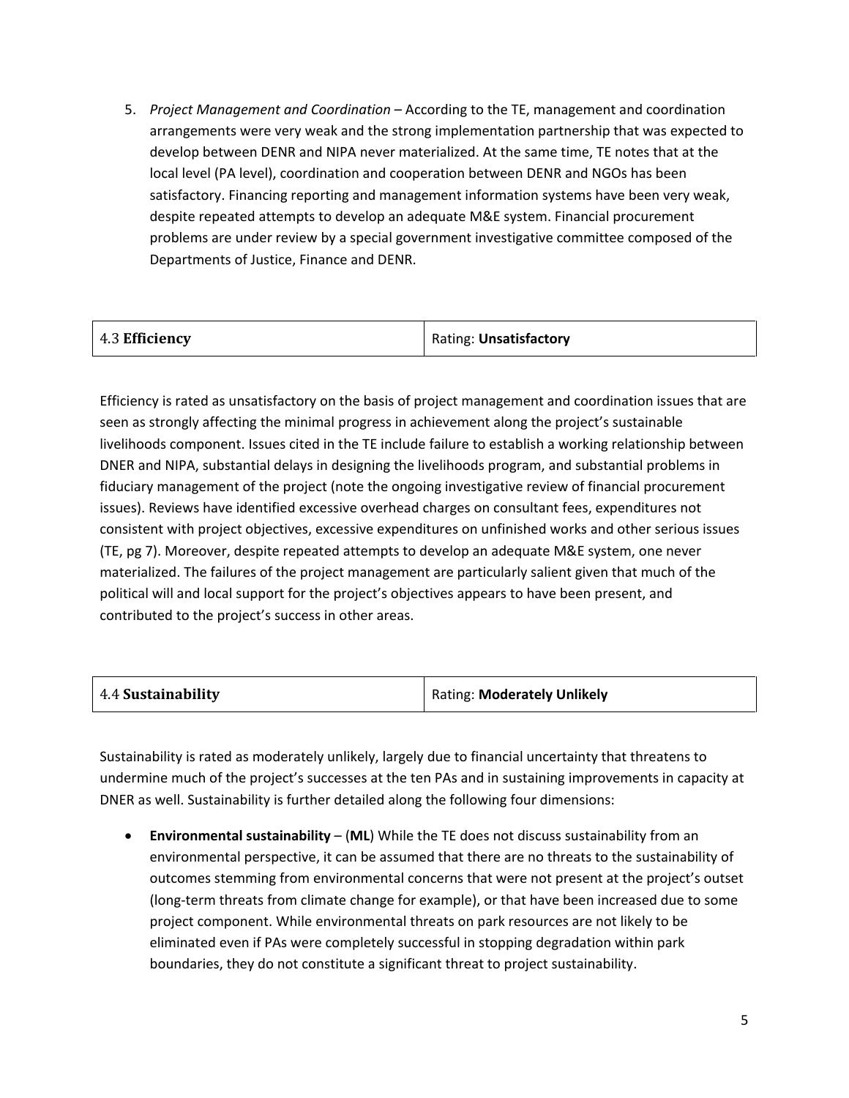5. *Project Management and Coordination* – According to the TE, management and coordination arrangements were very weak and the strong implementation partnership that was expected to develop between DENR and NIPA never materialized. At the same time, TE notes that at the local level (PA level), coordination and cooperation between DENR and NGOs has been satisfactory. Financing reporting and management information systems have been very weak, despite repeated attempts to develop an adequate M&E system. Financial procurement problems are under review by a special government investigative committee composed of the Departments of Justice, Finance and DENR.

| $\vert$ 4.3 Efficiency | Rating: Unsatisfactory |
|------------------------|------------------------|
|------------------------|------------------------|

Efficiency is rated as unsatisfactory on the basis of project management and coordination issues that are seen as strongly affecting the minimal progress in achievement along the project's sustainable livelihoods component. Issues cited in the TE include failure to establish a working relationship between DNER and NIPA, substantial delays in designing the livelihoods program, and substantial problems in fiduciary management of the project (note the ongoing investigative review of financial procurement issues). Reviews have identified excessive overhead charges on consultant fees, expenditures not consistent with project objectives, excessive expenditures on unfinished works and other serious issues (TE, pg 7). Moreover, despite repeated attempts to develop an adequate M&E system, one never materialized. The failures of the project management are particularly salient given that much of the political will and local support for the project's objectives appears to have been present, and contributed to the project's success in other areas.

| 4.4 Sustainability | Rating: Moderately Unlikely |
|--------------------|-----------------------------|
|--------------------|-----------------------------|

Sustainability is rated as moderately unlikely, largely due to financial uncertainty that threatens to undermine much of the project's successes at the ten PAs and in sustaining improvements in capacity at DNER as well. Sustainability is further detailed along the following four dimensions:

• **Environmental sustainability** – (**ML**) While the TE does not discuss sustainability from an environmental perspective, it can be assumed that there are no threats to the sustainability of outcomes stemming from environmental concerns that were not present at the project's outset (long-term threats from climate change for example), or that have been increased due to some project component. While environmental threats on park resources are not likely to be eliminated even if PAs were completely successful in stopping degradation within park boundaries, they do not constitute a significant threat to project sustainability.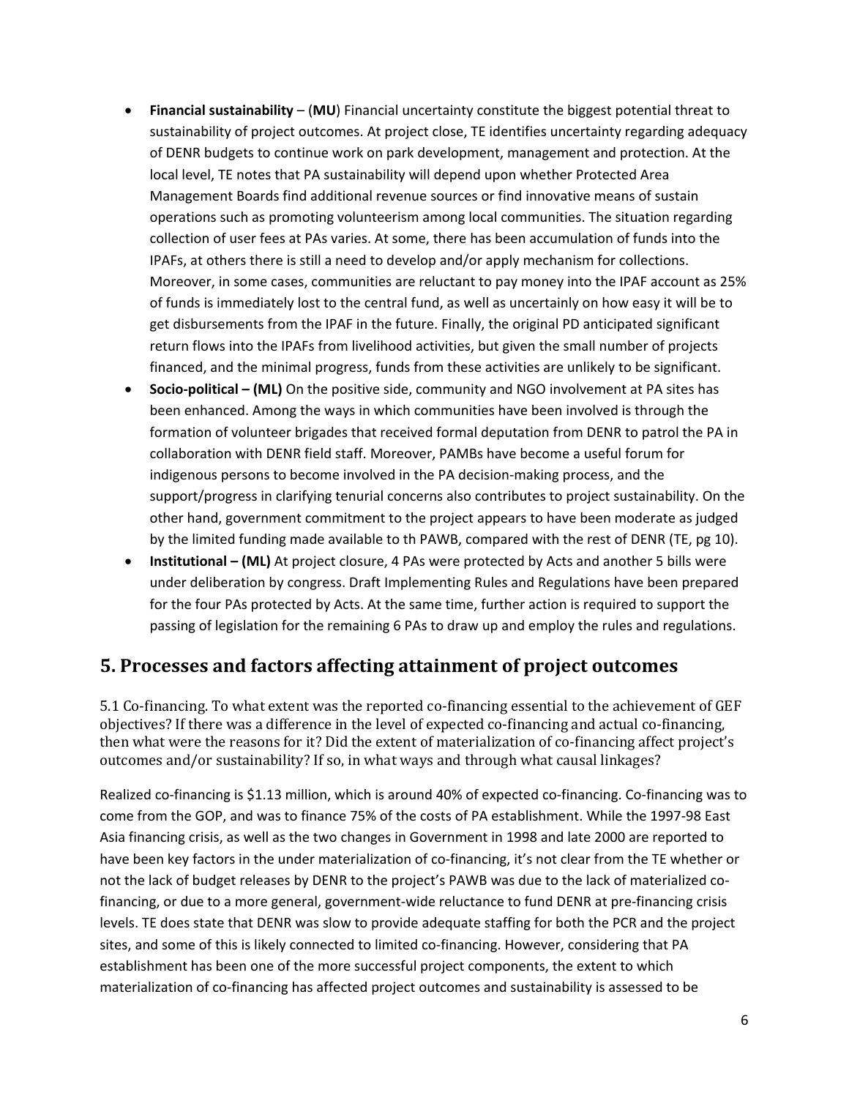- **Financial sustainability**  (**MU**) Financial uncertainty constitute the biggest potential threat to sustainability of project outcomes. At project close, TE identifies uncertainty regarding adequacy of DENR budgets to continue work on park development, management and protection. At the local level, TE notes that PA sustainability will depend upon whether Protected Area Management Boards find additional revenue sources or find innovative means of sustain operations such as promoting volunteerism among local communities. The situation regarding collection of user fees at PAs varies. At some, there has been accumulation of funds into the IPAFs, at others there is still a need to develop and/or apply mechanism for collections. Moreover, in some cases, communities are reluctant to pay money into the IPAF account as 25% of funds is immediately lost to the central fund, as well as uncertainly on how easy it will be to get disbursements from the IPAF in the future. Finally, the original PD anticipated significant return flows into the IPAFs from livelihood activities, but given the small number of projects financed, and the minimal progress, funds from these activities are unlikely to be significant.
- **Socio-political (ML)** On the positive side, community and NGO involvement at PA sites has been enhanced. Among the ways in which communities have been involved is through the formation of volunteer brigades that received formal deputation from DENR to patrol the PA in collaboration with DENR field staff. Moreover, PAMBs have become a useful forum for indigenous persons to become involved in the PA decision-making process, and the support/progress in clarifying tenurial concerns also contributes to project sustainability. On the other hand, government commitment to the project appears to have been moderate as judged by the limited funding made available to th PAWB, compared with the rest of DENR (TE, pg 10).
- **Institutional (ML)** At project closure, 4 PAs were protected by Acts and another 5 bills were under deliberation by congress. Draft Implementing Rules and Regulations have been prepared for the four PAs protected by Acts. At the same time, further action is required to support the passing of legislation for the remaining 6 PAs to draw up and employ the rules and regulations.

### **5. Processes and factors affecting attainment of project outcomes**

5.1 Co-financing. To what extent was the reported co-financing essential to the achievement of GEF objectives? If there was a difference in the level of expected co-financing and actual co-financing, then what were the reasons for it? Did the extent of materialization of co-financing affect project's outcomes and/or sustainability? If so, in what ways and through what causal linkages?

Realized co-financing is \$1.13 million, which is around 40% of expected co-financing. Co-financing was to come from the GOP, and was to finance 75% of the costs of PA establishment. While the 1997-98 East Asia financing crisis, as well as the two changes in Government in 1998 and late 2000 are reported to have been key factors in the under materialization of co-financing, it's not clear from the TE whether or not the lack of budget releases by DENR to the project's PAWB was due to the lack of materialized cofinancing, or due to a more general, government-wide reluctance to fund DENR at pre-financing crisis levels. TE does state that DENR was slow to provide adequate staffing for both the PCR and the project sites, and some of this is likely connected to limited co-financing. However, considering that PA establishment has been one of the more successful project components, the extent to which materialization of co-financing has affected project outcomes and sustainability is assessed to be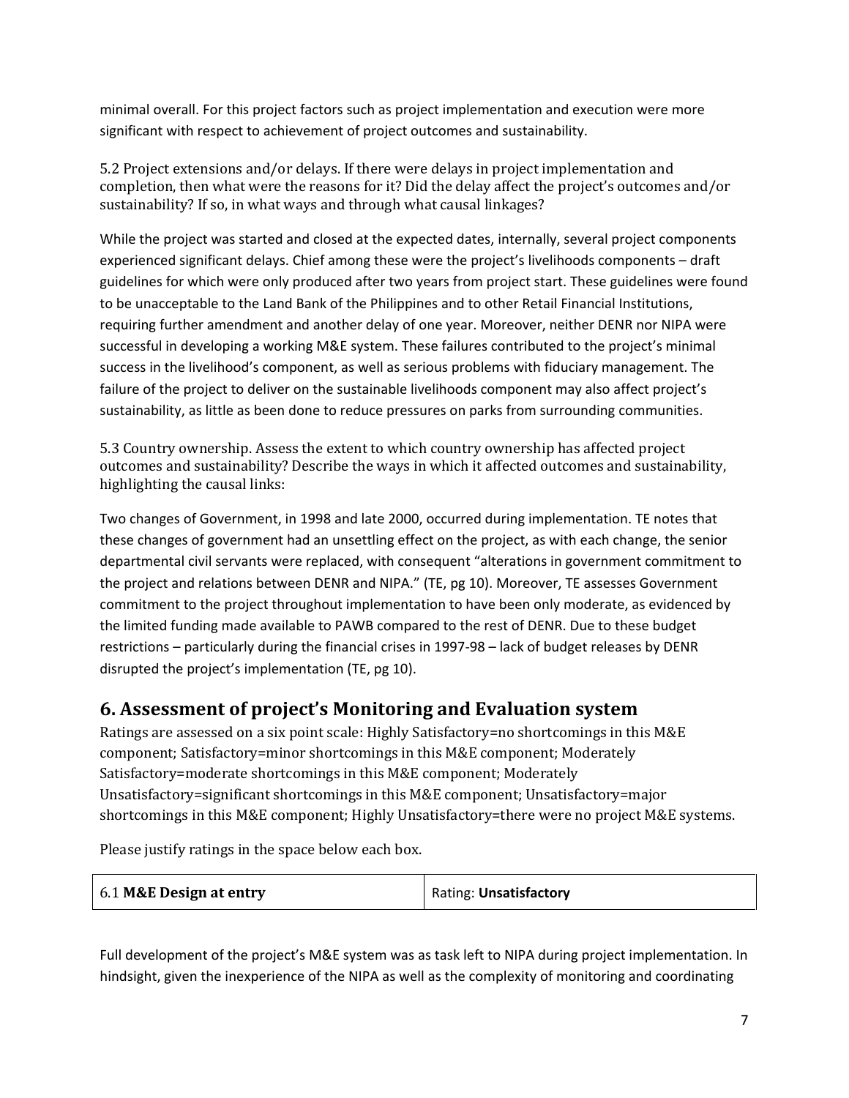minimal overall. For this project factors such as project implementation and execution were more significant with respect to achievement of project outcomes and sustainability.

5.2 Project extensions and/or delays. If there were delays in project implementation and completion, then what were the reasons for it? Did the delay affect the project's outcomes and/or sustainability? If so, in what ways and through what causal linkages?

While the project was started and closed at the expected dates, internally, several project components experienced significant delays. Chief among these were the project's livelihoods components – draft guidelines for which were only produced after two years from project start. These guidelines were found to be unacceptable to the Land Bank of the Philippines and to other Retail Financial Institutions, requiring further amendment and another delay of one year. Moreover, neither DENR nor NIPA were successful in developing a working M&E system. These failures contributed to the project's minimal success in the livelihood's component, as well as serious problems with fiduciary management. The failure of the project to deliver on the sustainable livelihoods component may also affect project's sustainability, as little as been done to reduce pressures on parks from surrounding communities.

5.3 Country ownership. Assess the extent to which country ownership has affected project outcomes and sustainability? Describe the ways in which it affected outcomes and sustainability, highlighting the causal links:

Two changes of Government, in 1998 and late 2000, occurred during implementation. TE notes that these changes of government had an unsettling effect on the project, as with each change, the senior departmental civil servants were replaced, with consequent "alterations in government commitment to the project and relations between DENR and NIPA." (TE, pg 10). Moreover, TE assesses Government commitment to the project throughout implementation to have been only moderate, as evidenced by the limited funding made available to PAWB compared to the rest of DENR. Due to these budget restrictions – particularly during the financial crises in 1997-98 – lack of budget releases by DENR disrupted the project's implementation (TE, pg 10).

### **6. Assessment of project's Monitoring and Evaluation system**

Ratings are assessed on a six point scale: Highly Satisfactory=no shortcomings in this M&E component; Satisfactory=minor shortcomings in this M&E component; Moderately Satisfactory=moderate shortcomings in this M&E component; Moderately Unsatisfactory=significant shortcomings in this M&E component; Unsatisfactory=major shortcomings in this M&E component; Highly Unsatisfactory=there were no project M&E systems.

Please justify ratings in the space below each box.

| Rating: Unsatisfactory<br>6.1 M&E Design at entry |  |
|---------------------------------------------------|--|
|---------------------------------------------------|--|

Full development of the project's M&E system was as task left to NIPA during project implementation. In hindsight, given the inexperience of the NIPA as well as the complexity of monitoring and coordinating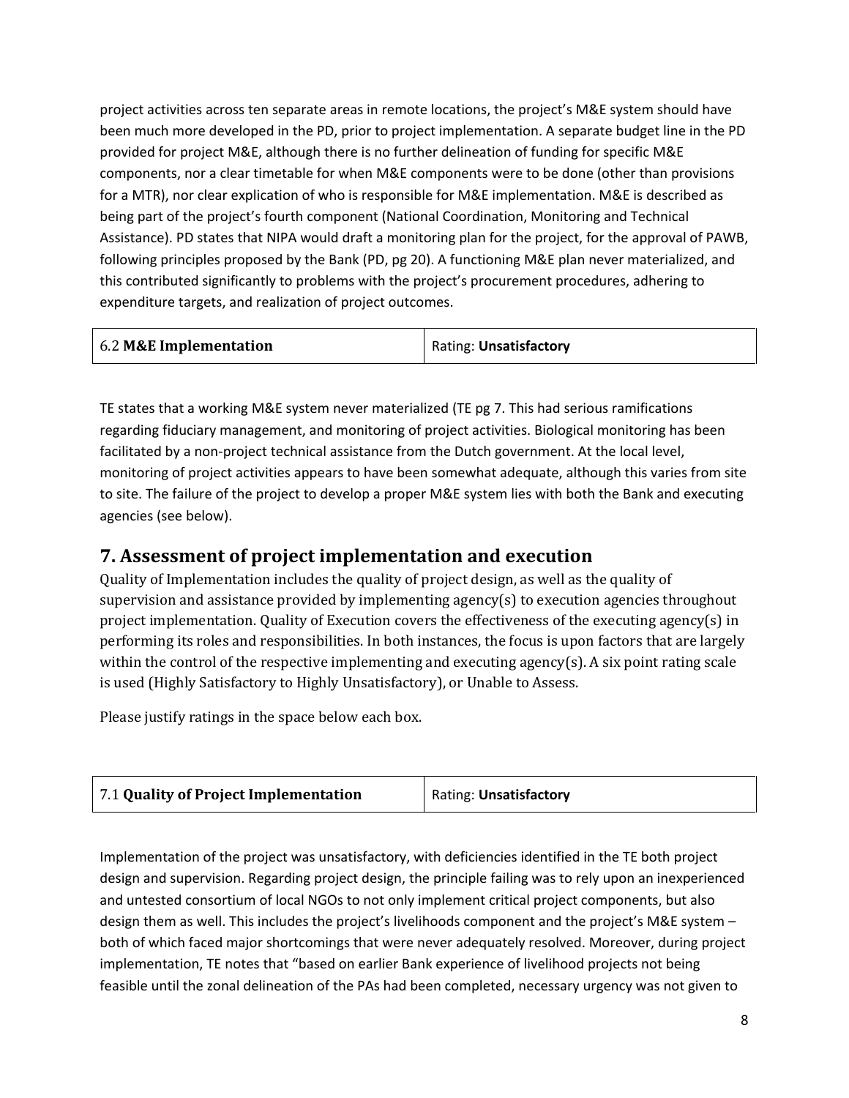project activities across ten separate areas in remote locations, the project's M&E system should have been much more developed in the PD, prior to project implementation. A separate budget line in the PD provided for project M&E, although there is no further delineation of funding for specific M&E components, nor a clear timetable for when M&E components were to be done (other than provisions for a MTR), nor clear explication of who is responsible for M&E implementation. M&E is described as being part of the project's fourth component (National Coordination, Monitoring and Technical Assistance). PD states that NIPA would draft a monitoring plan for the project, for the approval of PAWB, following principles proposed by the Bank (PD, pg 20). A functioning M&E plan never materialized, and this contributed significantly to problems with the project's procurement procedures, adhering to expenditure targets, and realization of project outcomes.

| 6.2 M&E Implementation | Rating: Unsatisfactory |
|------------------------|------------------------|
|                        |                        |

TE states that a working M&E system never materialized (TE pg 7. This had serious ramifications regarding fiduciary management, and monitoring of project activities. Biological monitoring has been facilitated by a non-project technical assistance from the Dutch government. At the local level, monitoring of project activities appears to have been somewhat adequate, although this varies from site to site. The failure of the project to develop a proper M&E system lies with both the Bank and executing agencies (see below).

### **7. Assessment of project implementation and execution**

Quality of Implementation includes the quality of project design, as well as the quality of supervision and assistance provided by implementing agency(s) to execution agencies throughout project implementation. Quality of Execution covers the effectiveness of the executing agency(s) in performing its roles and responsibilities. In both instances, the focus is upon factors that are largely within the control of the respective implementing and executing agency(s). A six point rating scale is used (Highly Satisfactory to Highly Unsatisfactory), or Unable to Assess.

Please justify ratings in the space below each box.

| 7.1 Quality of Project Implementation<br>Rating: Unsatisfactory |
|-----------------------------------------------------------------|
|-----------------------------------------------------------------|

Implementation of the project was unsatisfactory, with deficiencies identified in the TE both project design and supervision. Regarding project design, the principle failing was to rely upon an inexperienced and untested consortium of local NGOs to not only implement critical project components, but also design them as well. This includes the project's livelihoods component and the project's M&E system – both of which faced major shortcomings that were never adequately resolved. Moreover, during project implementation, TE notes that "based on earlier Bank experience of livelihood projects not being feasible until the zonal delineation of the PAs had been completed, necessary urgency was not given to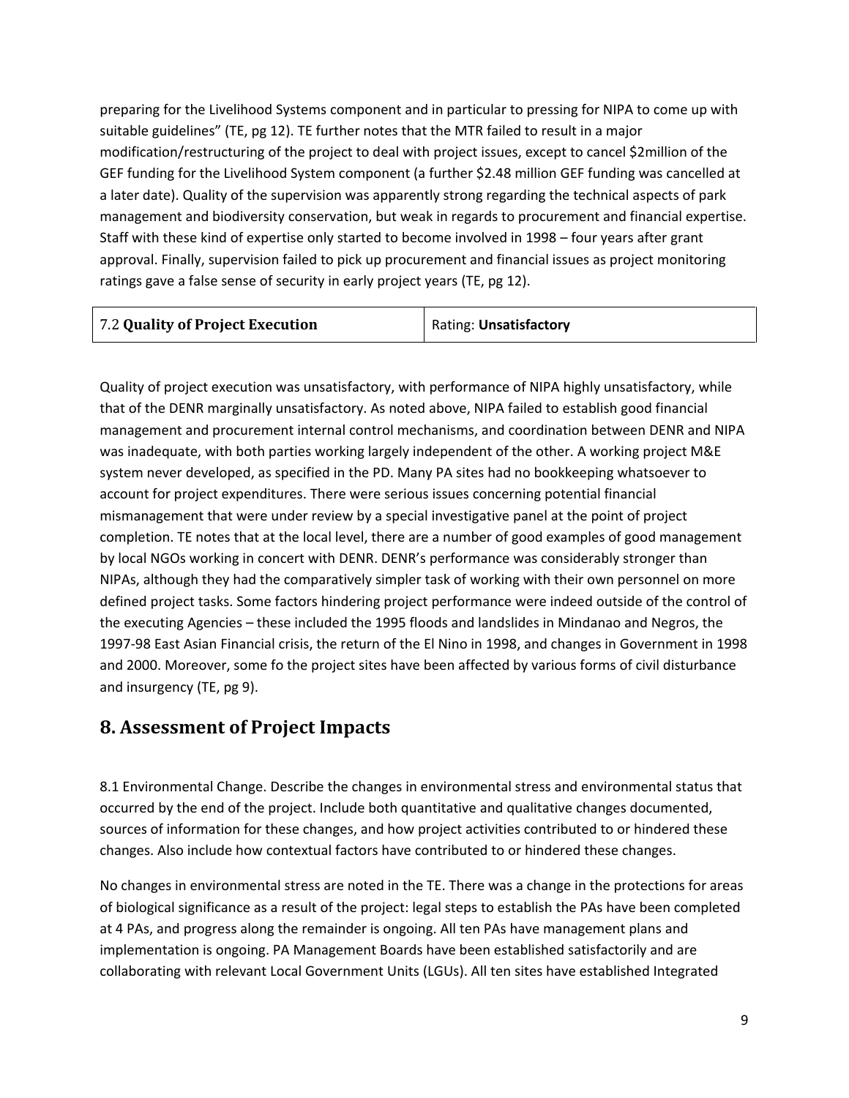preparing for the Livelihood Systems component and in particular to pressing for NIPA to come up with suitable guidelines" (TE, pg 12). TE further notes that the MTR failed to result in a major modification/restructuring of the project to deal with project issues, except to cancel \$2million of the GEF funding for the Livelihood System component (a further \$2.48 million GEF funding was cancelled at a later date). Quality of the supervision was apparently strong regarding the technical aspects of park management and biodiversity conservation, but weak in regards to procurement and financial expertise. Staff with these kind of expertise only started to become involved in 1998 – four years after grant approval. Finally, supervision failed to pick up procurement and financial issues as project monitoring ratings gave a false sense of security in early project years (TE, pg 12).

| 7.2 Quality of Project Execution | Rating: Unsatisfactory |
|----------------------------------|------------------------|
|                                  |                        |

Quality of project execution was unsatisfactory, with performance of NIPA highly unsatisfactory, while that of the DENR marginally unsatisfactory. As noted above, NIPA failed to establish good financial management and procurement internal control mechanisms, and coordination between DENR and NIPA was inadequate, with both parties working largely independent of the other. A working project M&E system never developed, as specified in the PD. Many PA sites had no bookkeeping whatsoever to account for project expenditures. There were serious issues concerning potential financial mismanagement that were under review by a special investigative panel at the point of project completion. TE notes that at the local level, there are a number of good examples of good management by local NGOs working in concert with DENR. DENR's performance was considerably stronger than NIPAs, although they had the comparatively simpler task of working with their own personnel on more defined project tasks. Some factors hindering project performance were indeed outside of the control of the executing Agencies – these included the 1995 floods and landslides in Mindanao and Negros, the 1997-98 East Asian Financial crisis, the return of the El Nino in 1998, and changes in Government in 1998 and 2000. Moreover, some fo the project sites have been affected by various forms of civil disturbance and insurgency (TE, pg 9).

### **8. Assessment of Project Impacts**

8.1 Environmental Change. Describe the changes in environmental stress and environmental status that occurred by the end of the project. Include both quantitative and qualitative changes documented, sources of information for these changes, and how project activities contributed to or hindered these changes. Also include how contextual factors have contributed to or hindered these changes.

No changes in environmental stress are noted in the TE. There was a change in the protections for areas of biological significance as a result of the project: legal steps to establish the PAs have been completed at 4 PAs, and progress along the remainder is ongoing. All ten PAs have management plans and implementation is ongoing. PA Management Boards have been established satisfactorily and are collaborating with relevant Local Government Units (LGUs). All ten sites have established Integrated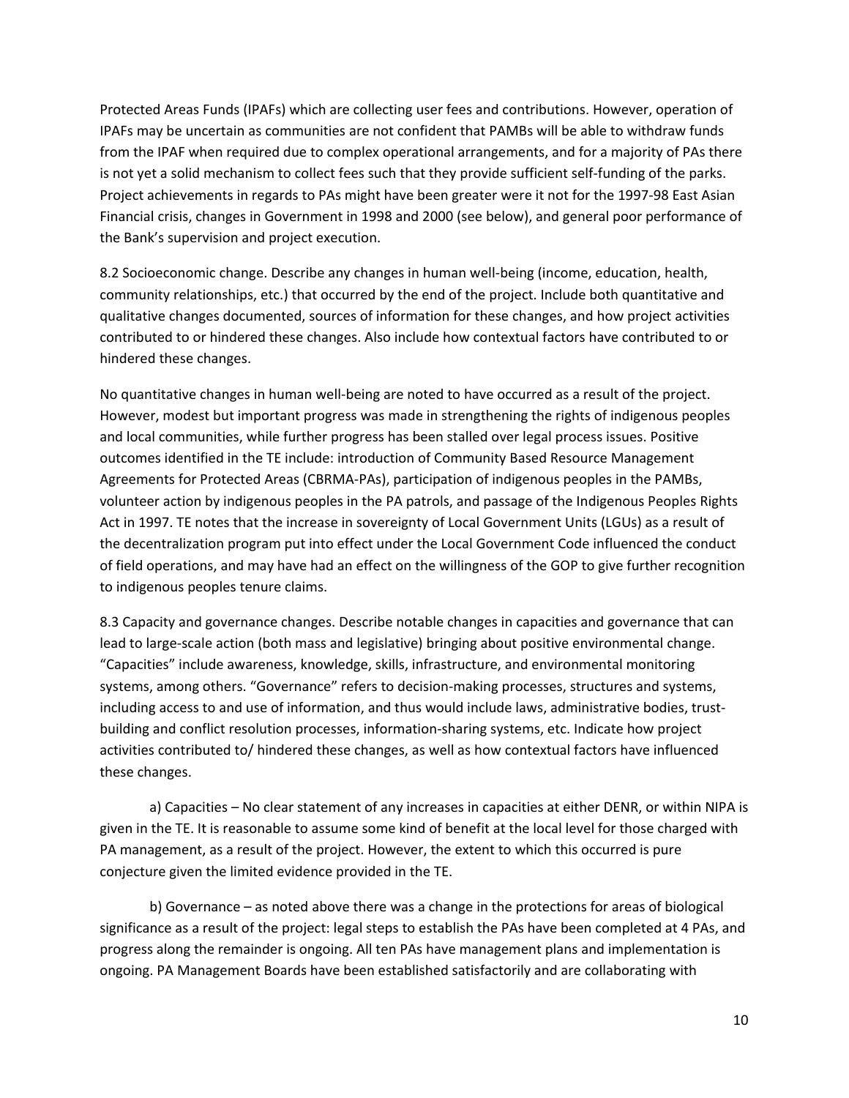Protected Areas Funds (IPAFs) which are collecting user fees and contributions. However, operation of IPAFs may be uncertain as communities are not confident that PAMBs will be able to withdraw funds from the IPAF when required due to complex operational arrangements, and for a majority of PAs there is not yet a solid mechanism to collect fees such that they provide sufficient self-funding of the parks. Project achievements in regards to PAs might have been greater were it not for the 1997-98 East Asian Financial crisis, changes in Government in 1998 and 2000 (see below), and general poor performance of the Bank's supervision and project execution.

8.2 Socioeconomic change. Describe any changes in human well-being (income, education, health, community relationships, etc.) that occurred by the end of the project. Include both quantitative and qualitative changes documented, sources of information for these changes, and how project activities contributed to or hindered these changes. Also include how contextual factors have contributed to or hindered these changes.

No quantitative changes in human well-being are noted to have occurred as a result of the project. However, modest but important progress was made in strengthening the rights of indigenous peoples and local communities, while further progress has been stalled over legal process issues. Positive outcomes identified in the TE include: introduction of Community Based Resource Management Agreements for Protected Areas (CBRMA-PAs), participation of indigenous peoples in the PAMBs, volunteer action by indigenous peoples in the PA patrols, and passage of the Indigenous Peoples Rights Act in 1997. TE notes that the increase in sovereignty of Local Government Units (LGUs) as a result of the decentralization program put into effect under the Local Government Code influenced the conduct of field operations, and may have had an effect on the willingness of the GOP to give further recognition to indigenous peoples tenure claims.

8.3 Capacity and governance changes. Describe notable changes in capacities and governance that can lead to large-scale action (both mass and legislative) bringing about positive environmental change. "Capacities" include awareness, knowledge, skills, infrastructure, and environmental monitoring systems, among others. "Governance" refers to decision-making processes, structures and systems, including access to and use of information, and thus would include laws, administrative bodies, trustbuilding and conflict resolution processes, information-sharing systems, etc. Indicate how project activities contributed to/ hindered these changes, as well as how contextual factors have influenced these changes.

a) Capacities – No clear statement of any increases in capacities at either DENR, or within NIPA is given in the TE. It is reasonable to assume some kind of benefit at the local level for those charged with PA management, as a result of the project. However, the extent to which this occurred is pure conjecture given the limited evidence provided in the TE.

b) Governance – as noted above there was a change in the protections for areas of biological significance as a result of the project: legal steps to establish the PAs have been completed at 4 PAs, and progress along the remainder is ongoing. All ten PAs have management plans and implementation is ongoing. PA Management Boards have been established satisfactorily and are collaborating with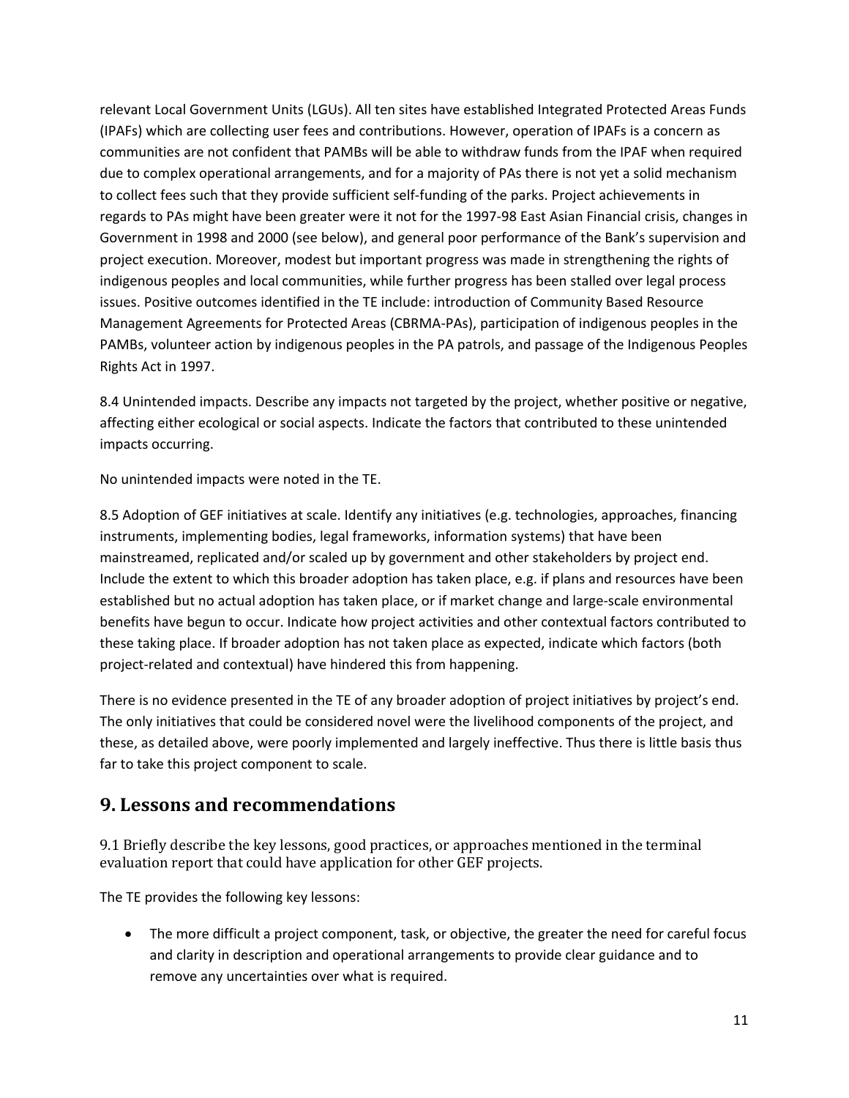relevant Local Government Units (LGUs). All ten sites have established Integrated Protected Areas Funds (IPAFs) which are collecting user fees and contributions. However, operation of IPAFs is a concern as communities are not confident that PAMBs will be able to withdraw funds from the IPAF when required due to complex operational arrangements, and for a majority of PAs there is not yet a solid mechanism to collect fees such that they provide sufficient self-funding of the parks. Project achievements in regards to PAs might have been greater were it not for the 1997-98 East Asian Financial crisis, changes in Government in 1998 and 2000 (see below), and general poor performance of the Bank's supervision and project execution. Moreover, modest but important progress was made in strengthening the rights of indigenous peoples and local communities, while further progress has been stalled over legal process issues. Positive outcomes identified in the TE include: introduction of Community Based Resource Management Agreements for Protected Areas (CBRMA-PAs), participation of indigenous peoples in the PAMBs, volunteer action by indigenous peoples in the PA patrols, and passage of the Indigenous Peoples Rights Act in 1997.

8.4 Unintended impacts. Describe any impacts not targeted by the project, whether positive or negative, affecting either ecological or social aspects. Indicate the factors that contributed to these unintended impacts occurring.

No unintended impacts were noted in the TE.

8.5 Adoption of GEF initiatives at scale. Identify any initiatives (e.g. technologies, approaches, financing instruments, implementing bodies, legal frameworks, information systems) that have been mainstreamed, replicated and/or scaled up by government and other stakeholders by project end. Include the extent to which this broader adoption has taken place, e.g. if plans and resources have been established but no actual adoption has taken place, or if market change and large-scale environmental benefits have begun to occur. Indicate how project activities and other contextual factors contributed to these taking place. If broader adoption has not taken place as expected, indicate which factors (both project-related and contextual) have hindered this from happening.

There is no evidence presented in the TE of any broader adoption of project initiatives by project's end. The only initiatives that could be considered novel were the livelihood components of the project, and these, as detailed above, were poorly implemented and largely ineffective. Thus there is little basis thus far to take this project component to scale.

### **9. Lessons and recommendations**

9.1 Briefly describe the key lessons, good practices, or approaches mentioned in the terminal evaluation report that could have application for other GEF projects.

The TE provides the following key lessons:

• The more difficult a project component, task, or objective, the greater the need for careful focus and clarity in description and operational arrangements to provide clear guidance and to remove any uncertainties over what is required.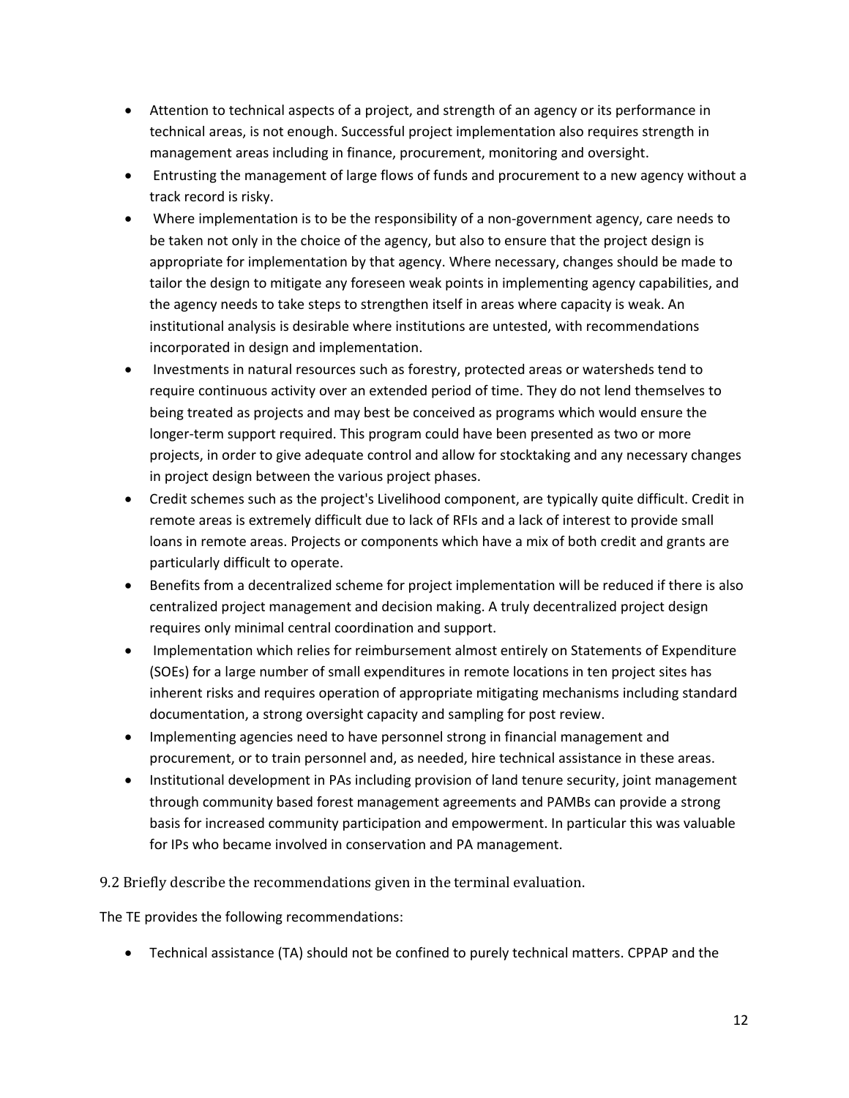- Attention to technical aspects of a project, and strength of an agency or its performance in technical areas, is not enough. Successful project implementation also requires strength in management areas including in finance, procurement, monitoring and oversight.
- Entrusting the management of large flows of funds and procurement to a new agency without a track record is risky.
- Where implementation is to be the responsibility of a non-government agency, care needs to be taken not only in the choice of the agency, but also to ensure that the project design is appropriate for implementation by that agency. Where necessary, changes should be made to tailor the design to mitigate any foreseen weak points in implementing agency capabilities, and the agency needs to take steps to strengthen itself in areas where capacity is weak. An institutional analysis is desirable where institutions are untested, with recommendations incorporated in design and implementation.
- Investments in natural resources such as forestry, protected areas or watersheds tend to require continuous activity over an extended period of time. They do not lend themselves to being treated as projects and may best be conceived as programs which would ensure the longer-term support required. This program could have been presented as two or more projects, in order to give adequate control and allow for stocktaking and any necessary changes in project design between the various project phases.
- Credit schemes such as the project's Livelihood component, are typically quite difficult. Credit in remote areas is extremely difficult due to lack of RFIs and a lack of interest to provide small loans in remote areas. Projects or components which have a mix of both credit and grants are particularly difficult to operate.
- Benefits from a decentralized scheme for project implementation will be reduced if there is also centralized project management and decision making. A truly decentralized project design requires only minimal central coordination and support.
- Implementation which relies for reimbursement almost entirely on Statements of Expenditure (SOEs) for a large number of small expenditures in remote locations in ten project sites has inherent risks and requires operation of appropriate mitigating mechanisms including standard documentation, a strong oversight capacity and sampling for post review.
- Implementing agencies need to have personnel strong in financial management and procurement, or to train personnel and, as needed, hire technical assistance in these areas.
- Institutional development in PAs including provision of land tenure security, joint management through community based forest management agreements and PAMBs can provide a strong basis for increased community participation and empowerment. In particular this was valuable for IPs who became involved in conservation and PA management.

9.2 Briefly describe the recommendations given in the terminal evaluation.

The TE provides the following recommendations:

• Technical assistance (TA) should not be confined to purely technical matters. CPPAP and the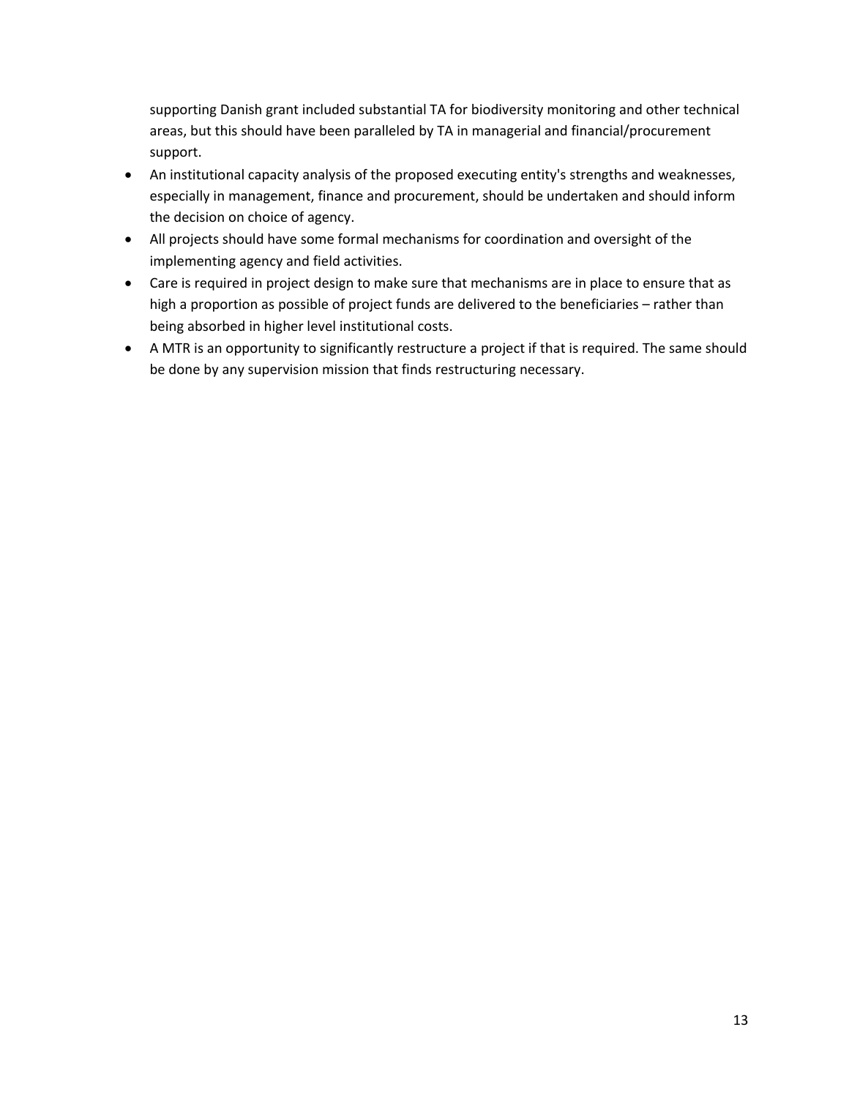supporting Danish grant included substantial TA for biodiversity monitoring and other technical areas, but this should have been paralleled by TA in managerial and financial/procurement support.

- An institutional capacity analysis of the proposed executing entity's strengths and weaknesses, especially in management, finance and procurement, should be undertaken and should inform the decision on choice of agency.
- All projects should have some formal mechanisms for coordination and oversight of the implementing agency and field activities.
- Care is required in project design to make sure that mechanisms are in place to ensure that as high a proportion as possible of project funds are delivered to the beneficiaries – rather than being absorbed in higher level institutional costs.
- A MTR is an opportunity to significantly restructure a project if that is required. The same should be done by any supervision mission that finds restructuring necessary.